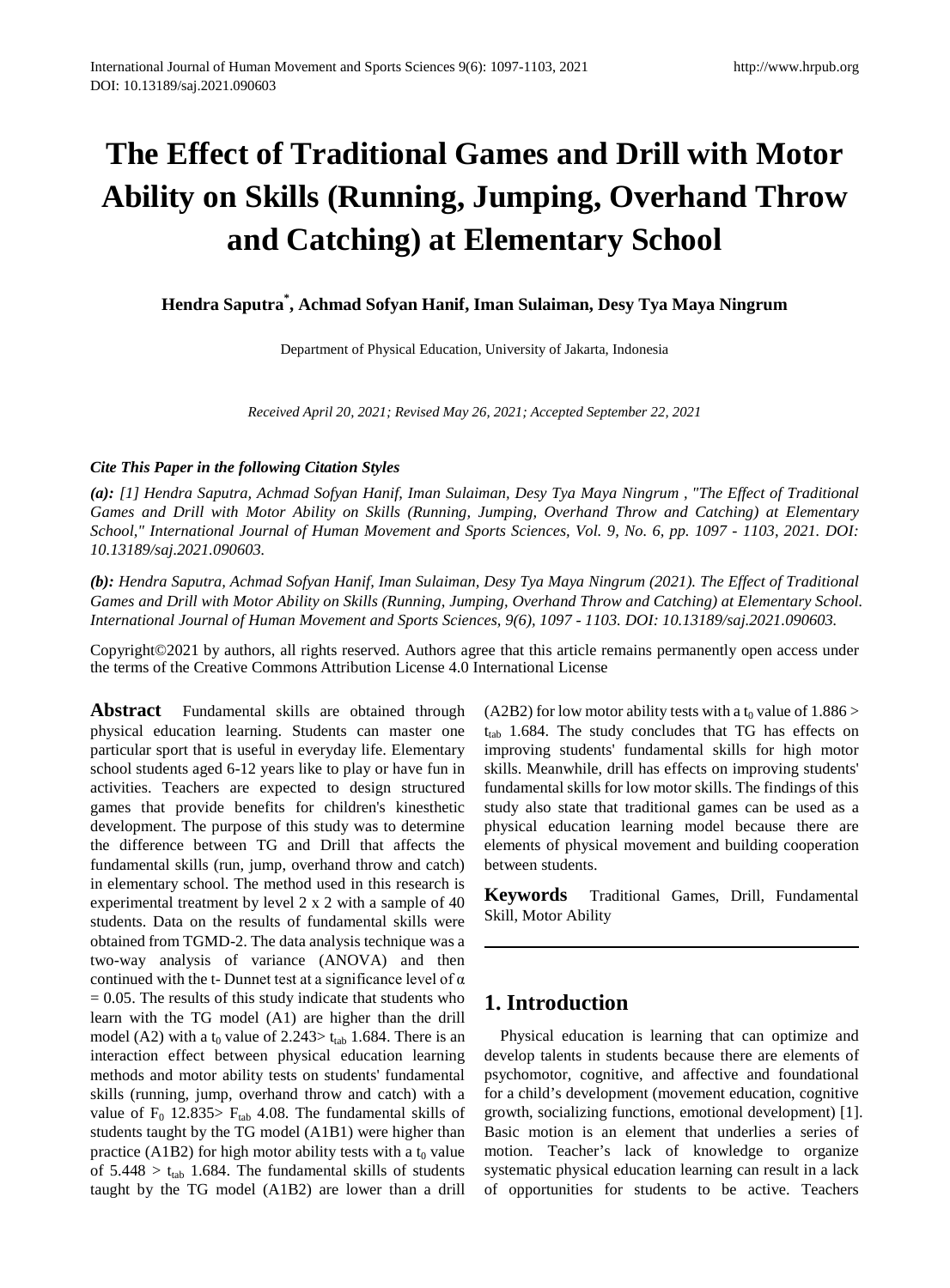# **The Effect of Traditional Games and Drill with Motor Ability on Skills (Running, Jumping, Overhand Throw and Catching) at Elementary School**

**Hendra Saputra\* , Achmad Sofyan Hanif, Iman Sulaiman, Desy Tya Maya Ningrum** 

Department of Physical Education, University of Jakarta, Indonesia

*Received April 20, 2021; Revised May 26, 2021; Accepted September 22, 2021*

#### *Cite This Paper in the following Citation Styles*

*(a): [1] Hendra Saputra, Achmad Sofyan Hanif, Iman Sulaiman, Desy Tya Maya Ningrum , "The Effect of Traditional Games and Drill with Motor Ability on Skills (Running, Jumping, Overhand Throw and Catching) at Elementary School," International Journal of Human Movement and Sports Sciences, Vol. 9, No. 6, pp. 1097 - 1103, 2021. DOI: 10.13189/saj.2021.090603.* 

*(b): Hendra Saputra, Achmad Sofyan Hanif, Iman Sulaiman, Desy Tya Maya Ningrum (2021). The Effect of Traditional Games and Drill with Motor Ability on Skills (Running, Jumping, Overhand Throw and Catching) at Elementary School. International Journal of Human Movement and Sports Sciences, 9(6), 1097 - 1103. DOI: 10.13189/saj.2021.090603.* 

Copyright©2021 by authors, all rights reserved. Authors agree that this article remains permanently open access under the terms of the Creative Commons Attribution License 4.0 International License

**Abstract** Fundamental skills are obtained through physical education learning. Students can master one particular sport that is useful in everyday life. Elementary school students aged 6-12 years like to play or have fun in activities. Teachers are expected to design structured games that provide benefits for children's kinesthetic development. The purpose of this study was to determine the difference between TG and Drill that affects the fundamental skills (run, jump, overhand throw and catch) in elementary school. The method used in this research is experimental treatment by level 2 x 2 with a sample of 40 students. Data on the results of fundamental skills were obtained from TGMD-2. The data analysis technique was a two-way analysis of variance (ANOVA) and then continued with the t- Dunnet test at a significance level of  $\alpha$  $= 0.05$ . The results of this study indicate that students who learn with the TG model (A1) are higher than the drill model (A2) with a  $t_0$  value of 2.243>  $t_{tab}$  1.684. There is an interaction effect between physical education learning methods and motor ability tests on students' fundamental skills (running, jump, overhand throw and catch) with a value of  $F_0$  12.835>  $F_{tab}$  4.08. The fundamental skills of students taught by the TG model (A1B1) were higher than practice (A1B2) for high motor ability tests with a  $t_0$  value of  $5.448 > t_{tab}$  1.684. The fundamental skills of students taught by the TG model (A1B2) are lower than a drill (A2B2) for low motor ability tests with a  $t_0$  value of 1.886 >  $t_{tab}$  1.684. The study concludes that TG has effects on improving students' fundamental skills for high motor skills. Meanwhile, drill has effects on improving students' fundamental skills for low motor skills. The findings of this study also state that traditional games can be used as a physical education learning model because there are elements of physical movement and building cooperation between students.

**Keywords** Traditional Games, Drill, Fundamental Skill, Motor Ability

## **1. Introduction**

Physical education is learning that can optimize and develop talents in students because there are elements of psychomotor, cognitive, and affective and foundational for a child's development (movement education, cognitive growth, socializing functions, emotional development) [1]. Basic motion is an element that underlies a series of motion. Teacher's lack of knowledge to organize systematic physical education learning can result in a lack of opportunities for students to be active. Teachers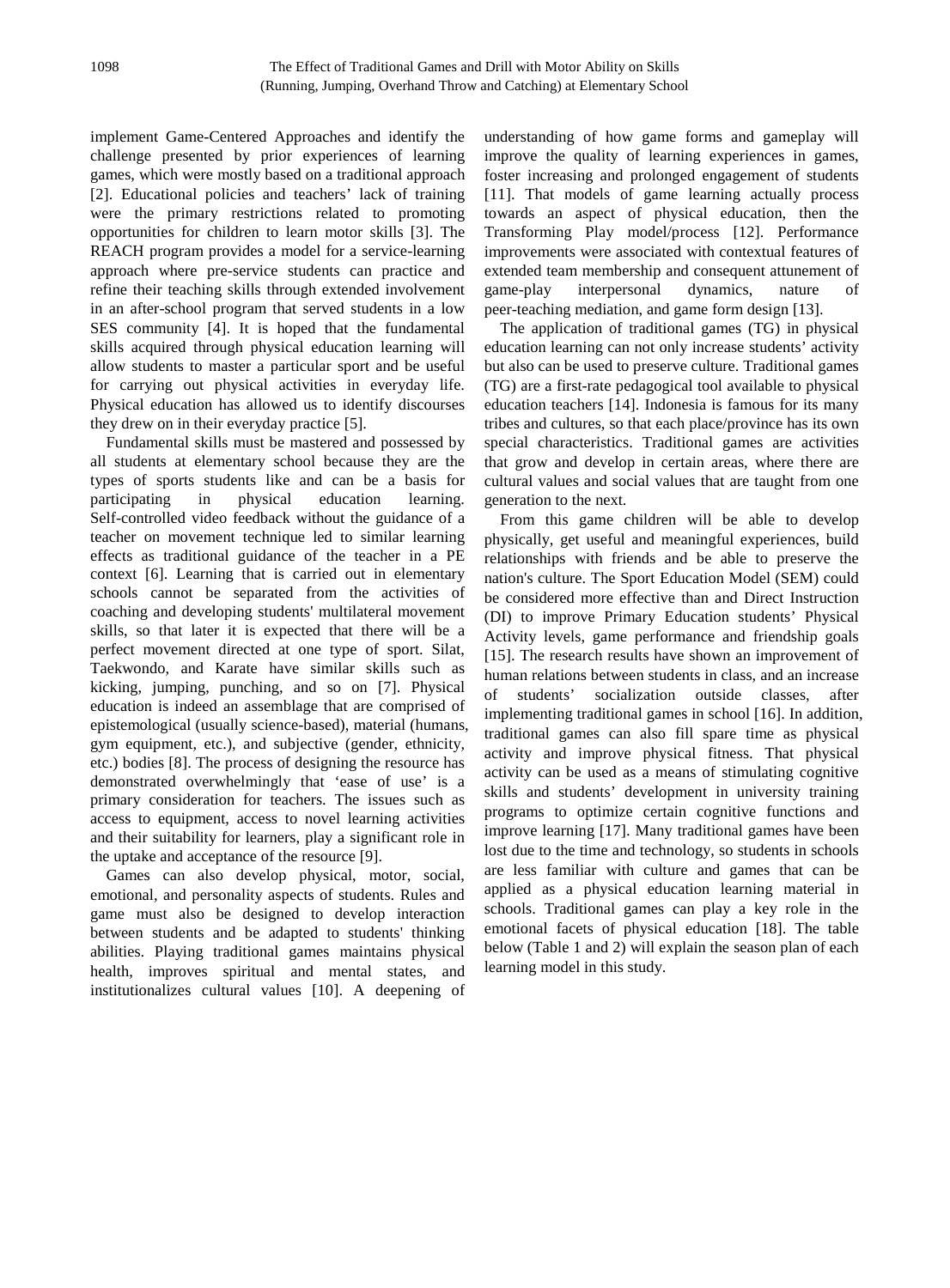implement Game-Centered Approaches and identify the challenge presented by prior experiences of learning games, which were mostly based on a traditional approach [2]. Educational policies and teachers' lack of training were the primary restrictions related to promoting opportunities for children to learn motor skills [3]. The REACH program provides a model for a service-learning approach where pre-service students can practice and refine their teaching skills through extended involvement in an after-school program that served students in a low SES community [4]. It is hoped that the fundamental skills acquired through physical education learning will allow students to master a particular sport and be useful for carrying out physical activities in everyday life. Physical education has allowed us to identify discourses they drew on in their everyday practice [5].

Fundamental skills must be mastered and possessed by all students at elementary school because they are the types of sports students like and can be a basis for participating in physical education learning. Self-controlled video feedback without the guidance of a teacher on movement technique led to similar learning effects as traditional guidance of the teacher in a PE context [6]. Learning that is carried out in elementary schools cannot be separated from the activities of coaching and developing students' multilateral movement skills, so that later it is expected that there will be a perfect movement directed at one type of sport. Silat, Taekwondo, and Karate have similar skills such as kicking, jumping, punching, and so on [7]. Physical education is indeed an assemblage that are comprised of epistemological (usually science-based), material (humans, gym equipment, etc.), and subjective (gender, ethnicity, etc.) bodies [8]. The process of designing the resource has demonstrated overwhelmingly that 'ease of use' is a primary consideration for teachers. The issues such as access to equipment, access to novel learning activities and their suitability for learners, play a significant role in the uptake and acceptance of the resource [9].

Games can also develop physical, motor, social, emotional, and personality aspects of students. Rules and game must also be designed to develop interaction between students and be adapted to students' thinking abilities. Playing traditional games maintains physical health, improves spiritual and mental states, and institutionalizes cultural values [10]. A deepening of understanding of how game forms and gameplay will improve the quality of learning experiences in games, foster increasing and prolonged engagement of students [11]. That models of game learning actually process towards an aspect of physical education, then the Transforming Play model/process [12]. Performance improvements were associated with contextual features of extended team membership and consequent attunement of game-play interpersonal dynamics, nature of peer-teaching mediation, and game form design [13].

The application of traditional games (TG) in physical education learning can not only increase students' activity but also can be used to preserve culture. Traditional games (TG) are a first-rate pedagogical tool available to physical education teachers [14]. Indonesia is famous for its many tribes and cultures, so that each place/province has its own special characteristics. Traditional games are activities that grow and develop in certain areas, where there are cultural values and social values that are taught from one generation to the next.

From this game children will be able to develop physically, get useful and meaningful experiences, build relationships with friends and be able to preserve the nation's culture. The Sport Education Model (SEM) could be considered more effective than and Direct Instruction (DI) to improve Primary Education students' Physical Activity levels, game performance and friendship goals [15]. The research results have shown an improvement of human relations between students in class, and an increase of students' socialization outside classes, after implementing traditional games in school [16]. In addition, traditional games can also fill spare time as physical activity and improve physical fitness. That physical activity can be used as a means of stimulating cognitive skills and students' development in university training programs to optimize certain cognitive functions and improve learning [17]. Many traditional games have been lost due to the time and technology, so students in schools are less familiar with culture and games that can be applied as a physical education learning material in schools. Traditional games can play a key role in the emotional facets of physical education [18]. The table below (Table 1 and 2) will explain the season plan of each learning model in this study.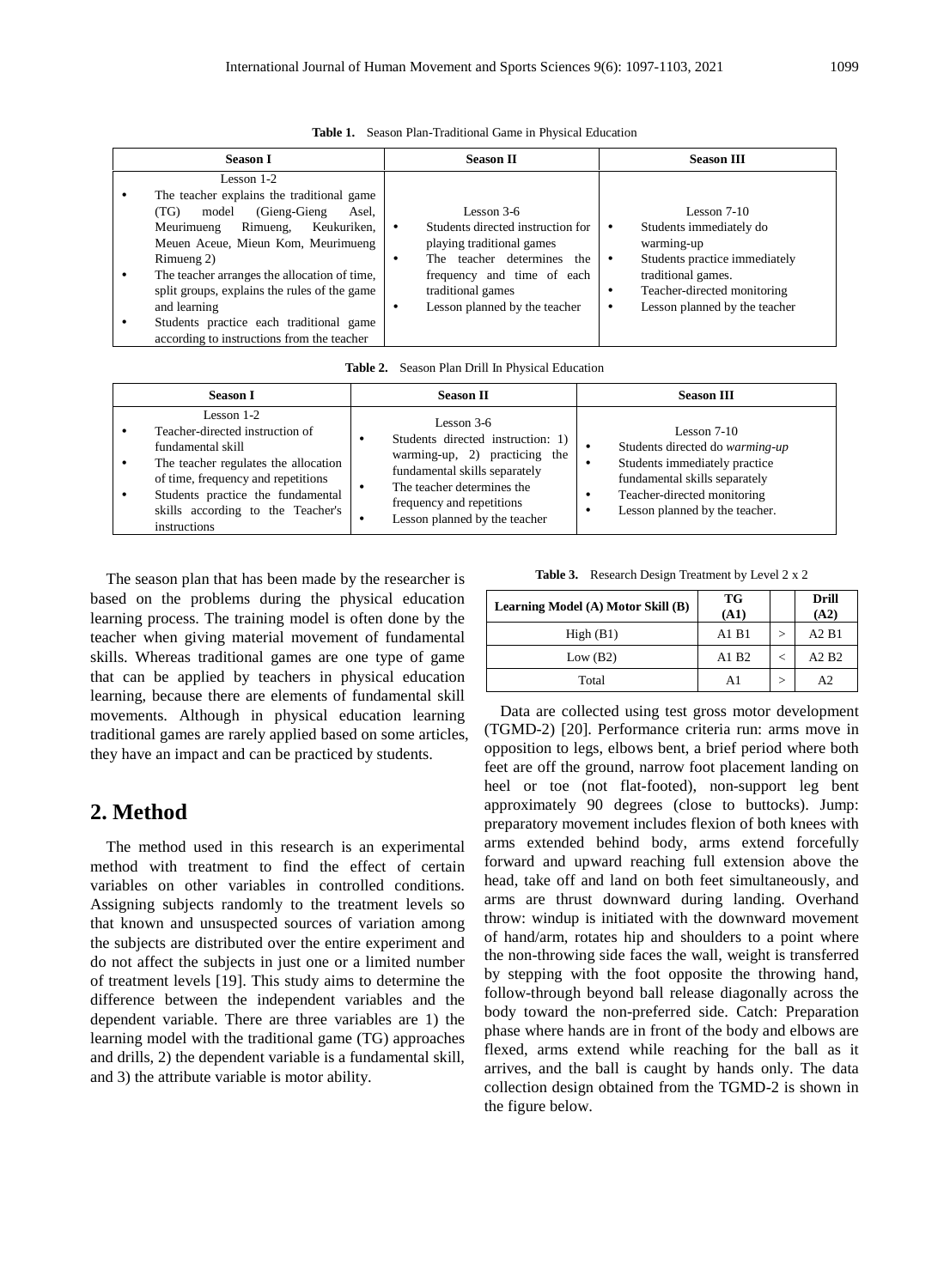| <b>Season I</b>                                                                                                                                                                                       | <b>Season II</b>                                                                                                              |           | <b>Season III</b>                                                                            |
|-------------------------------------------------------------------------------------------------------------------------------------------------------------------------------------------------------|-------------------------------------------------------------------------------------------------------------------------------|-----------|----------------------------------------------------------------------------------------------|
| Lesson 1-2<br>The teacher explains the traditional game<br>(TG)<br>model<br>(Gieng-Gieng)<br>Asel.                                                                                                    | Lesson $3-6$                                                                                                                  |           | Lesson $7-10$                                                                                |
| Rimueng,<br>Keukuriken,<br>Meurimueng<br>Meuen Aceue, Mieun Kom, Meurimueng<br>Rimueng 2)                                                                                                             | Students directed instruction for<br>playing traditional games<br>The teacher determines<br>the<br>frequency and time of each | $\bullet$ | Students immediately do<br>warming-up<br>Students practice immediately<br>traditional games. |
| The teacher arranges the allocation of time,<br>split groups, explains the rules of the game<br>and learning<br>Students practice each traditional game<br>according to instructions from the teacher | traditional games<br>Lesson planned by the teacher                                                                            |           | Teacher-directed monitoring<br>Lesson planned by the teacher                                 |

**Table 1.** Season Plan-Traditional Game in Physical Education

|  |  |  |  |  | <b>Table 2.</b> Season Plan Drill In Physical Education |
|--|--|--|--|--|---------------------------------------------------------|
|--|--|--|--|--|---------------------------------------------------------|

| <b>Season I</b>                                                                                                                                                                                                                            | <b>Season II</b>                                                                                                                                                                                                | <b>Season III</b>                                                                                                                                                                   |
|--------------------------------------------------------------------------------------------------------------------------------------------------------------------------------------------------------------------------------------------|-----------------------------------------------------------------------------------------------------------------------------------------------------------------------------------------------------------------|-------------------------------------------------------------------------------------------------------------------------------------------------------------------------------------|
| Lesson 1-2<br>Teacher-directed instruction of<br>fundamental skill<br>The teacher regulates the allocation<br>of time, frequency and repetitions<br>Students practice the fundamental<br>skills according to the Teacher's<br>instructions | Lesson $3-6$<br>Students directed instruction: 1)<br>warming-up, 2) practicing the<br>fundamental skills separately<br>The teacher determines the<br>frequency and repetitions<br>Lesson planned by the teacher | Lesson $7-10$<br>Students directed do warming-up<br>Students immediately practice<br>fundamental skills separately<br>Teacher-directed monitoring<br>Lesson planned by the teacher. |

The season plan that has been made by the researcher is based on the problems during the physical education learning process. The training model is often done by the teacher when giving material movement of fundamental skills. Whereas traditional games are one type of game that can be applied by teachers in physical education learning, because there are elements of fundamental skill movements. Although in physical education learning traditional games are rarely applied based on some articles, they have an impact and can be practiced by students.

## **2. Method**

The method used in this research is an experimental method with treatment to find the effect of certain variables on other variables in controlled conditions. Assigning subjects randomly to the treatment levels so that known and unsuspected sources of variation among the subjects are distributed over the entire experiment and do not affect the subjects in just one or a limited number of treatment levels [19]. This study aims to determine the difference between the independent variables and the dependent variable. There are three variables are 1) the learning model with the traditional game (TG) approaches and drills, 2) the dependent variable is a fundamental skill, and 3) the attribute variable is motor ability.

Table 3. Research Design Treatment by Level 2 x 2

| Learning Model (A) Motor Skill (B) | TG<br>(A1)        |         | Drill<br>(A2) |
|------------------------------------|-------------------|---------|---------------|
| High(B1)                           | A1 B1             | ↘       | A2B1          |
| Low $(B2)$                         | A1 B <sub>2</sub> | $\,<\,$ | A2B2          |
| Total                              | A1                | >       | A2            |

Data are collected using test gross motor development (TGMD-2) [20]. Performance criteria run: arms move in opposition to legs, elbows bent, a brief period where both feet are off the ground, narrow foot placement landing on heel or toe (not flat-footed), non-support leg bent approximately 90 degrees (close to buttocks). Jump: preparatory movement includes flexion of both knees with arms extended behind body, arms extend forcefully forward and upward reaching full extension above the head, take off and land on both feet simultaneously, and arms are thrust downward during landing. Overhand throw: windup is initiated with the downward movement of hand/arm, rotates hip and shoulders to a point where the non-throwing side faces the wall, weight is transferred by stepping with the foot opposite the throwing hand, follow-through beyond ball release diagonally across the body toward the non-preferred side. Catch: Preparation phase where hands are in front of the body and elbows are flexed, arms extend while reaching for the ball as it arrives, and the ball is caught by hands only. The data collection design obtained from the TGMD-2 is shown in the figure below.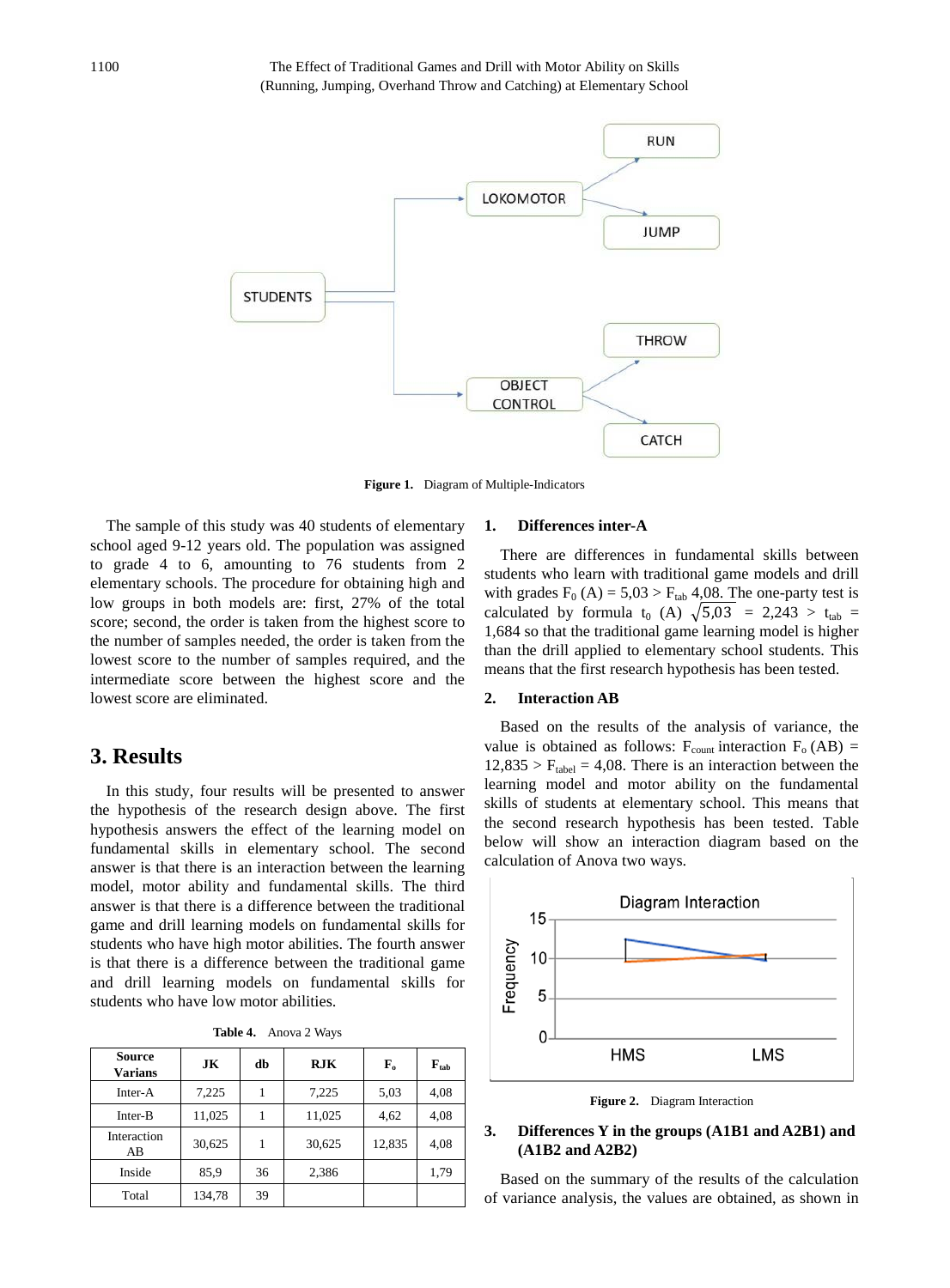

**Figure 1.** Diagram of Multiple-Indicators

The sample of this study was 40 students of elementary school aged 9-12 years old. The population was assigned to grade 4 to 6, amounting to 76 students from 2 elementary schools. The procedure for obtaining high and low groups in both models are: first, 27% of the total score; second, the order is taken from the highest score to the number of samples needed, the order is taken from the lowest score to the number of samples required, and the intermediate score between the highest score and the lowest score are eliminated.

### **3. Results**

In this study, four results will be presented to answer the hypothesis of the research design above. The first hypothesis answers the effect of the learning model on fundamental skills in elementary school. The second answer is that there is an interaction between the learning model, motor ability and fundamental skills. The third answer is that there is a difference between the traditional game and drill learning models on fundamental skills for students who have high motor abilities. The fourth answer is that there is a difference between the traditional game and drill learning models on fundamental skills for students who have low motor abilities.

**Table 4.** Anova 2 Ways

| <b>Source</b><br><b>Varians</b> | JK     | db | RJK    | ${\bf F}_o$ | $\mathbf{F}_{\text{tab}}$ |
|---------------------------------|--------|----|--------|-------------|---------------------------|
| Inter-A                         | 7,225  |    | 7,225  | 5,03        | 4,08                      |
| Inter-B                         | 11,025 |    | 11,025 | 4,62        | 4,08                      |
| Interaction<br>AВ               | 30,625 |    | 30,625 | 12,835      | 4,08                      |
| Inside                          | 85.9   | 36 | 2,386  |             | 1,79                      |
| Total                           | 134,78 | 39 |        |             |                           |

#### **1. Differences inter-A**

There are differences in fundamental skills between students who learn with traditional game models and drill with grades  $F_0$  (A) = 5,03 >  $F_{tab}$  4,08. The one-party test is calculated by formula t<sub>0</sub> (A)  $\sqrt{5,03}$  = 2,243 > t<sub>tab</sub> = 1,684 so that the traditional game learning model is higher than the drill applied to elementary school students. This means that the first research hypothesis has been tested.

#### **2. Interaction AB**

Based on the results of the analysis of variance, the value is obtained as follows:  $F_{\text{count}}$  interaction  $F_{o}$  (AB) =  $12,835 > F_{\text{table}} = 4,08$ . There is an interaction between the learning model and motor ability on the fundamental skills of students at elementary school. This means that the second research hypothesis has been tested. Table below will show an interaction diagram based on the calculation of Anova two ways.



**Figure 2.** Diagram Interaction

#### **3. Differences Y in the groups (A1B1 and A2B1) and (A1B2 and A2B2)**

Based on the summary of the results of the calculation of variance analysis, the values are obtained, as shown in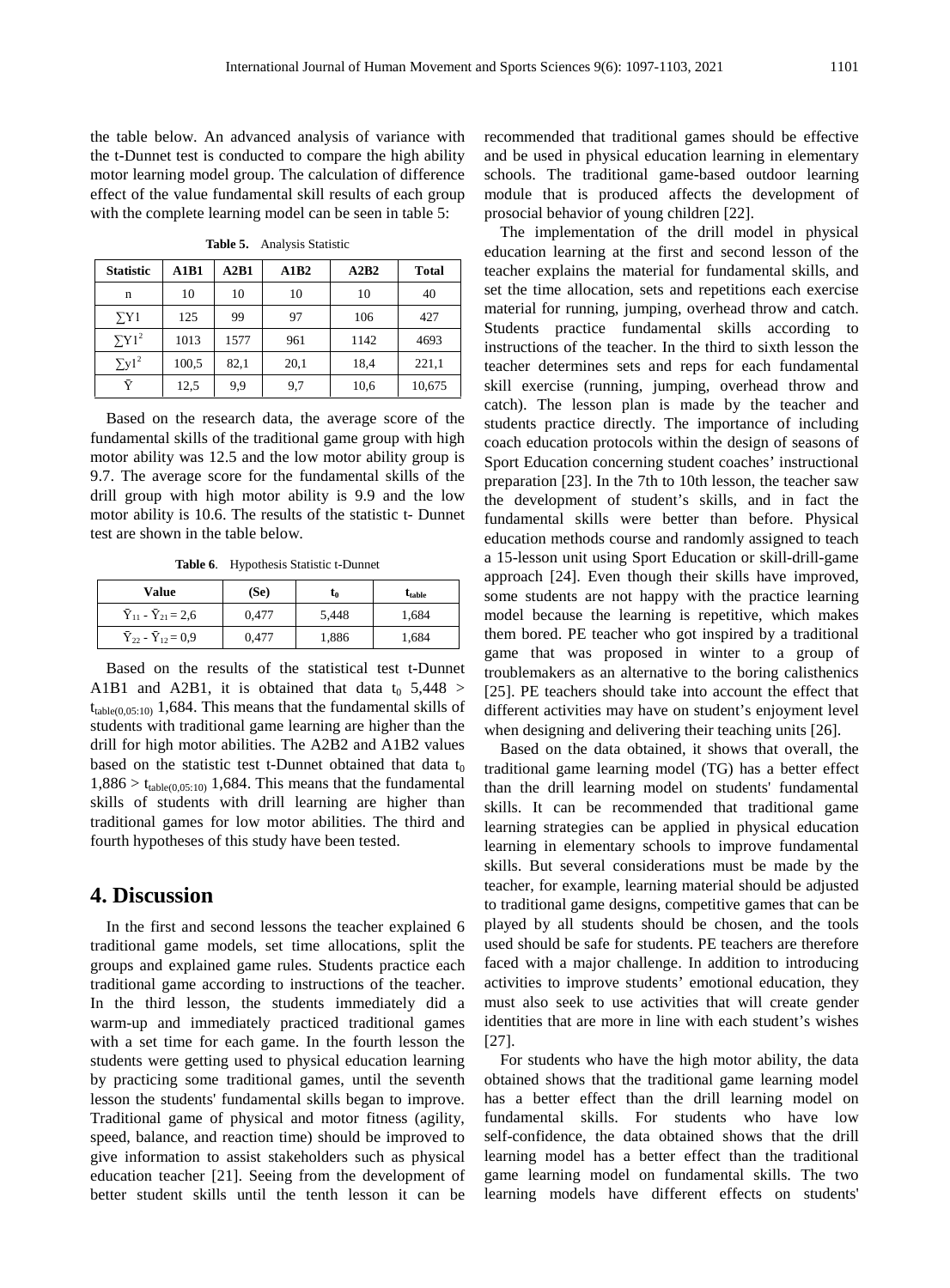the table below. An advanced analysis of variance with the t-Dunnet test is conducted to compare the high ability motor learning model group. The calculation of difference effect of the value fundamental skill results of each group with the complete learning model can be seen in table 5:

| <b>Statistic</b>         | <b>A1B1</b> | A2B1 | A1B2 | A2B2 | <b>Total</b> |
|--------------------------|-------------|------|------|------|--------------|
| n                        | 10          | 10   | 10   | 10   | 40           |
| $\Sigma Y1$              | 125         | 99   | 97   | 106  | 427          |
| $\Sigma$ Y1 <sup>2</sup> | 1013        | 1577 | 961  | 1142 | 4693         |
| $\Sigma y1^2$            | 100,5       | 82,1 | 20,1 | 18.4 | 221,1        |
| Ÿ                        | 12,5        | 9,9  | 9,7  | 10,6 | 10,675       |

**Table 5.** Analysis Statistic

Based on the research data, the average score of the fundamental skills of the traditional game group with high motor ability was 12.5 and the low motor ability group is 9.7. The average score for the fundamental skills of the drill group with high motor ability is 9.9 and the low motor ability is 10.6. The results of the statistic t- Dunnet test are shown in the table below.

**Table 6**. Hypothesis Statistic t-Dunnet

| Value                                 | (Se)  | եօ    | t <sub>table</sub> |
|---------------------------------------|-------|-------|--------------------|
| $\bar{Y}_{11}$ - $\bar{Y}_{21}$ = 2,6 | 0.477 | 5,448 | 1,684              |
| $\bar{Y}_{22}$ - $\bar{Y}_{12}$ = 0.9 | 0.477 | 1,886 | 1,684              |

Based on the results of the statistical test t-Dunnet A1B1 and A2B1, it is obtained that data  $t_0$  5,448 >  $t_{table(0.05:10)}$  1,684. This means that the fundamental skills of students with traditional game learning are higher than the drill for high motor abilities. The A2B2 and A1B2 values based on the statistic test t-Dunnet obtained that data  $t_0$  $1,886 > t_{table(0,05:10)}$  1,684. This means that the fundamental skills of students with drill learning are higher than traditional games for low motor abilities. The third and fourth hypotheses of this study have been tested.

## **4. Discussion**

In the first and second lessons the teacher explained 6 traditional game models, set time allocations, split the groups and explained game rules. Students practice each traditional game according to instructions of the teacher. In the third lesson, the students immediately did a warm-up and immediately practiced traditional games with a set time for each game. In the fourth lesson the students were getting used to physical education learning by practicing some traditional games, until the seventh lesson the students' fundamental skills began to improve. Traditional game of physical and motor fitness (agility, speed, balance, and reaction time) should be improved to give information to assist stakeholders such as physical education teacher [21]. Seeing from the development of better student skills until the tenth lesson it can be

recommended that traditional games should be effective and be used in physical education learning in elementary schools. The traditional game-based outdoor learning module that is produced affects the development of prosocial behavior of young children [22].

The implementation of the drill model in physical education learning at the first and second lesson of the teacher explains the material for fundamental skills, and set the time allocation, sets and repetitions each exercise material for running, jumping, overhead throw and catch. Students practice fundamental skills according to instructions of the teacher. In the third to sixth lesson the teacher determines sets and reps for each fundamental skill exercise (running, jumping, overhead throw and catch). The lesson plan is made by the teacher and students practice directly. The importance of including coach education protocols within the design of seasons of Sport Education concerning student coaches' instructional preparation [23]. In the 7th to 10th lesson, the teacher saw the development of student's skills, and in fact the fundamental skills were better than before. Physical education methods course and randomly assigned to teach a 15-lesson unit using Sport Education or skill-drill-game approach [24]. Even though their skills have improved, some students are not happy with the practice learning model because the learning is repetitive, which makes them bored. PE teacher who got inspired by a traditional game that was proposed in winter to a group of troublemakers as an alternative to the boring calisthenics [25]. PE teachers should take into account the effect that different activities may have on student's enjoyment level when designing and delivering their teaching units [26].

Based on the data obtained, it shows that overall, the traditional game learning model (TG) has a better effect than the drill learning model on students' fundamental skills. It can be recommended that traditional game learning strategies can be applied in physical education learning in elementary schools to improve fundamental skills. But several considerations must be made by the teacher, for example, learning material should be adjusted to traditional game designs, competitive games that can be played by all students should be chosen, and the tools used should be safe for students. PE teachers are therefore faced with a major challenge. In addition to introducing activities to improve students' emotional education, they must also seek to use activities that will create gender identities that are more in line with each student's wishes [27].

For students who have the high motor ability, the data obtained shows that the traditional game learning model has a better effect than the drill learning model on fundamental skills. For students who have low self-confidence, the data obtained shows that the drill learning model has a better effect than the traditional game learning model on fundamental skills. The two learning models have different effects on students'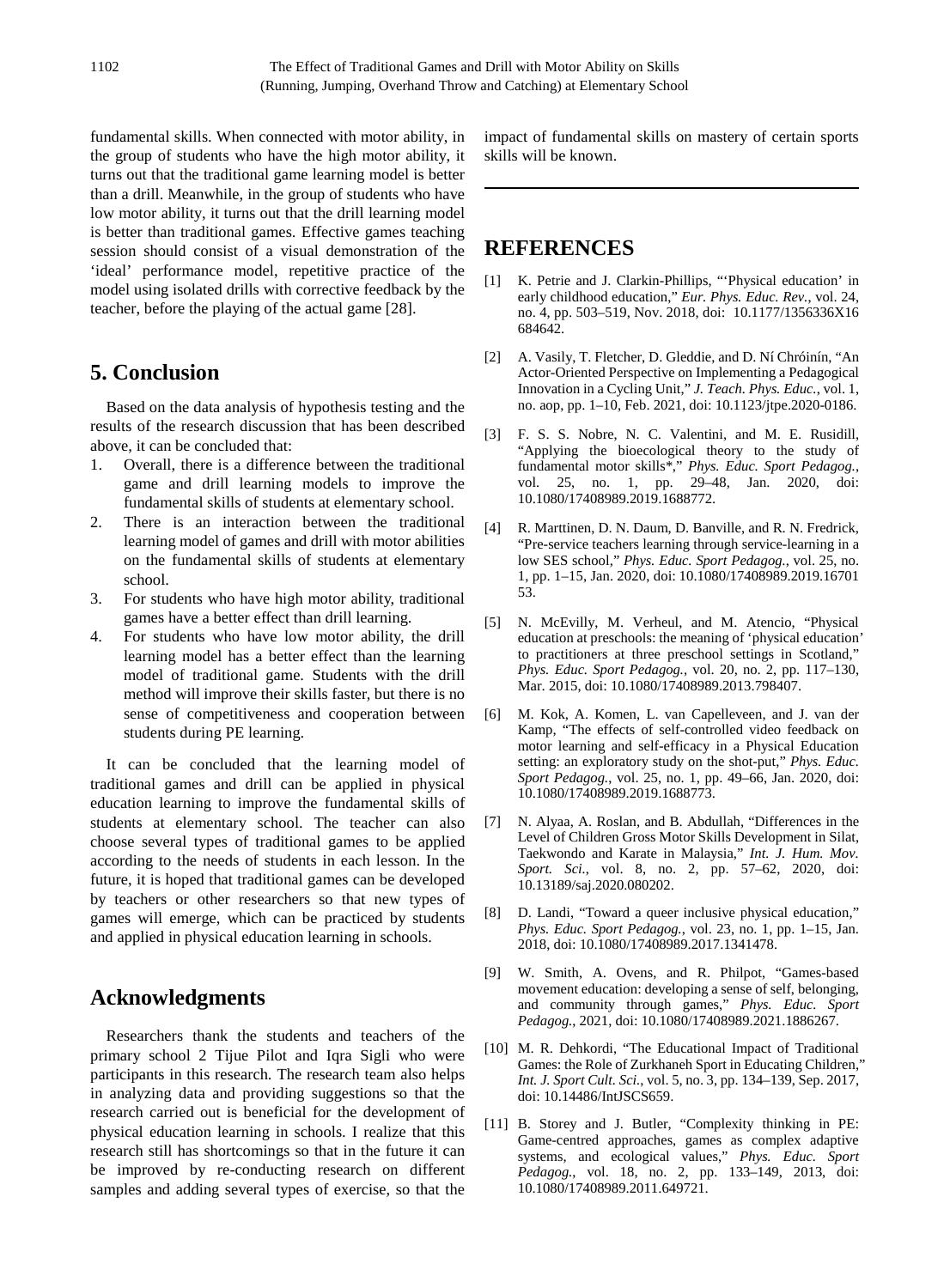fundamental skills. When connected with motor ability, in the group of students who have the high motor ability, it turns out that the traditional game learning model is better than a drill. Meanwhile, in the group of students who have low motor ability, it turns out that the drill learning model is better than traditional games. Effective games teaching session should consist of a visual demonstration of the 'ideal' performance model, repetitive practice of the model using isolated drills with corrective feedback by the teacher, before the playing of the actual game [28].

# **5. Conclusion**

Based on the data analysis of hypothesis testing and the results of the research discussion that has been described above, it can be concluded that:

- 1. Overall, there is a difference between the traditional game and drill learning models to improve the fundamental skills of students at elementary school.
- 2. There is an interaction between the traditional learning model of games and drill with motor abilities on the fundamental skills of students at elementary school.
- 3. For students who have high motor ability, traditional games have a better effect than drill learning.
- 4. For students who have low motor ability, the drill learning model has a better effect than the learning model of traditional game. Students with the drill method will improve their skills faster, but there is no sense of competitiveness and cooperation between students during PE learning.

It can be concluded that the learning model of traditional games and drill can be applied in physical education learning to improve the fundamental skills of students at elementary school. The teacher can also choose several types of traditional games to be applied according to the needs of students in each lesson. In the future, it is hoped that traditional games can be developed by teachers or other researchers so that new types of games will emerge, which can be practiced by students and applied in physical education learning in schools.

## **Acknowledgments**

Researchers thank the students and teachers of the primary school 2 Tijue Pilot and Iqra Sigli who were participants in this research. The research team also helps in analyzing data and providing suggestions so that the research carried out is beneficial for the development of physical education learning in schools. I realize that this research still has shortcomings so that in the future it can be improved by re-conducting research on different samples and adding several types of exercise, so that the

impact of fundamental skills on mastery of certain sports skills will be known.

# **REFERENCES**

- [1] K. Petrie and J. Clarkin-Phillips, "'Physical education' in early childhood education," *Eur. Phys. Educ. Rev.*, vol. 24, no. 4, pp. 503–519, Nov. 2018, doi: 10.1177/1356336X16 684642.
- [2] A. Vasily, T. Fletcher, D. Gleddie, and D. Ní Chróinín, "An Actor-Oriented Perspective on Implementing a Pedagogical Innovation in a Cycling Unit," *J. Teach. Phys. Educ.*, vol. 1, no. aop, pp. 1–10, Feb. 2021, doi: 10.1123/jtpe.2020-0186.
- [3] F. S. S. Nobre, N. C. Valentini, and M. E. Rusidill, "Applying the bioecological theory to the study of fundamental motor skills\*," *Phys. Educ. Sport Pedagog.*, vol. 25, no. 1, pp. 29–48, Jan. 2020, doi: 10.1080/17408989.2019.1688772.
- [4] R. Marttinen, D. N. Daum, D. Banville, and R. N. Fredrick, "Pre-service teachers learning through service-learning in a low SES school," *Phys. Educ. Sport Pedagog.*, vol. 25, no. 1, pp. 1–15, Jan. 2020, doi: 10.1080/17408989.2019.16701 53.
- [5] N. McEvilly, M. Verheul, and M. Atencio, "Physical education at preschools: the meaning of 'physical education' to practitioners at three preschool settings in Scotland," *Phys. Educ. Sport Pedagog.*, vol. 20, no. 2, pp. 117–130, Mar. 2015, doi: 10.1080/17408989.2013.798407.
- [6] M. Kok, A. Komen, L. van Capelleveen, and J. van der Kamp, "The effects of self-controlled video feedback on motor learning and self-efficacy in a Physical Education setting: an exploratory study on the shot-put," *Phys. Educ. Sport Pedagog.*, vol. 25, no. 1, pp. 49–66, Jan. 2020, doi: 10.1080/17408989.2019.1688773.
- [7] N. Alyaa, A. Roslan, and B. Abdullah, "Differences in the Level of Children Gross Motor Skills Development in Silat, Taekwondo and Karate in Malaysia," *Int. J. Hum. Mov. Sport. Sci.*, vol. 8, no. 2, pp. 57–62, 2020, doi: 10.13189/saj.2020.080202.
- [8] D. Landi, "Toward a queer inclusive physical education," *Phys. Educ. Sport Pedagog.*, vol. 23, no. 1, pp. 1–15, Jan. 2018, doi: 10.1080/17408989.2017.1341478.
- [9] W. Smith, A. Ovens, and R. Philpot, "Games-based movement education: developing a sense of self, belonging, and community through games," *Phys. Educ. Sport Pedagog.*, 2021, doi: 10.1080/17408989.2021.1886267.
- [10] M. R. Dehkordi, "The Educational Impact of Traditional Games: the Role of Zurkhaneh Sport in Educating Children," *Int. J. Sport Cult. Sci.*, vol. 5, no. 3, pp. 134–139, Sep. 2017, doi: 10.14486/IntJSCS659.
- [11] B. Storey and J. Butler, "Complexity thinking in PE: Game-centred approaches, games as complex adaptive systems, and ecological values," *Phys. Educ. Sport Pedagog.*, vol. 18, no. 2, pp. 133–149, 2013, doi: 10.1080/17408989.2011.649721.